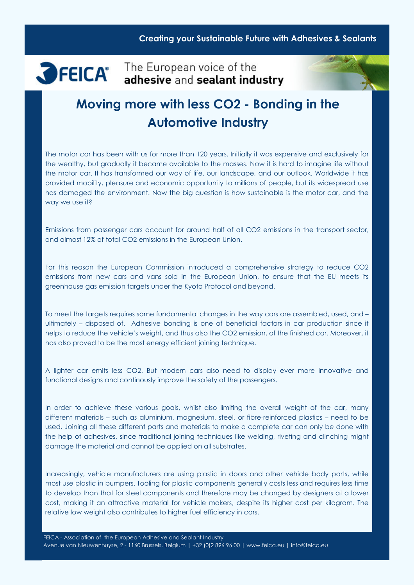# SFEICA<sup>®</sup> The European voice of the

# Moving more with less CO2 - Bonding in the Automotive Industry

The motor car has been with us for more than 120 years. Initially it was expensive and exclusively for the wealthy, but gradually it became available to the masses. Now it is hard to imagine life without the motor car. It has transformed our way of life, our landscape, and our outlook. Worldwide it has provided mobility, pleasure and economic opportunity to millions of people, but its widespread use has damaged the environment. Now the big question is how sustainable is the motor car, and the way we use it?

Emissions from passenger cars account for around half of all CO2 emissions in the transport sector, and almost 12% of total CO2 emissions in the European Union.

For this reason the European Commission introduced a comprehensive strategy to reduce CO2 emissions from new cars and vans sold in the European Union, to ensure that the EU meets its greenhouse gas emission targets under the Kyoto Protocol and beyond.

To meet the targets requires some fundamental changes in the way cars are assembled, used, and – ultimately – disposed of. Adhesive bonding is one of beneficial factors in car production since it helps to reduce the vehicle's weight, and thus also the CO2 emission, of the finished car. Moreover, it has also proved to be the most energy efficient joining technique.

A lighter car emits less CO2. But modern cars also need to display ever more innovative and functional designs and continously improve the safety of the passengers.

In order to achieve these various goals, whilst also limiting the overall weight of the car, many different materials – such as aluminium, magnesium, steel, or fibre-reinforced plastics – need to be used. Joining all these different parts and materials to make a complete car can only be done with the help of adhesives, since traditional joining techniques like welding, riveting and clinching might damage the material and cannot be applied on all substrates.

Increasingly, vehicle manufacturers are using plastic in doors and other vehicle body parts, while most use plastic in bumpers. Tooling for plastic components generally costs less and requires less time to develop than that for steel components and therefore may be changed by designers at a lower cost, making it an attractive material for vehicle makers, despite its higher cost per kilogram. The relative low weight also contributes to higher fuel efficiency in cars.

FEICA - Association of the European Adhesive and Sealant Industry Avenue van Nieuwenhuyse, 2 - 1160 Brussels, Belgium | +32 (0)2 896 96 00 | www.feica.eu | info@feica.eu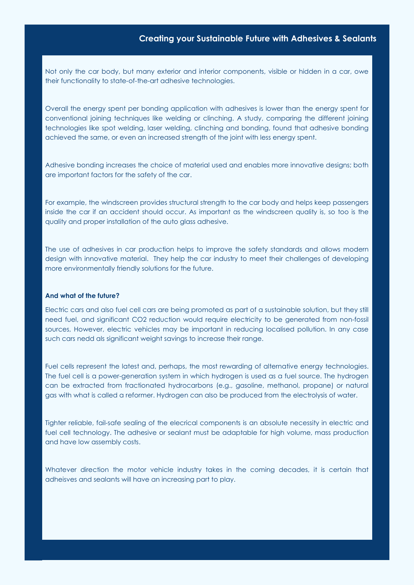Not only the car body, but many exterior and interior components, visible or hidden in a car, owe their functionality to state-of-the-art adhesive technologies.

Overall the energy spent per bonding application with adhesives is lower than the energy spent for conventional joining techniques like welding or clinching. A study, comparing the different joining technologies like spot welding, laser welding, clinching and bonding, found that adhesive bonding achieved the same, or even an increased strength of the joint with less energy spent.

Adhesive bonding increases the choice of material used and enables more innovative designs; both are important factors for the safety of the car.

For example, the windscreen provides structural strength to the car body and helps keep passengers inside the car if an accident should occur. As important as the windscreen quality is, so too is the quality and proper installation of the auto glass adhesive.

The use of adhesives in car production helps to improve the safety standards and allows modern design with innovative material. They help the car industry to meet their challenges of developing more environmentally friendly solutions for the future.

#### And what of the future?

Electric cars and also fuel cell cars are being promoted as part of a sustainable solution, but they still need fuel, and significant CO2 reduction would require electricity to be generated from non-fossil sources, However, electric vehicles may be important in reducing localised pollution. In any case such cars nedd als significant weight savings to increase their range.

Fuel cells represent the latest and, perhaps, the most rewarding of alternative energy technologies. The fuel cell is a power-generation system in which hydrogen is used as a fuel source. The hydrogen can be extracted from fractionated hydrocarbons (e.g., gasoline, methanol, propane) or natural gas with what is called a reformer. Hydrogen can also be produced from the electrolysis of water.

Tighter reliable, fail-safe sealing of the elecrical components is an absolute necessity in electric and fuel cell technology. The adhesive or sealant must be adaptable for high volume, mass production and have low assembly costs.

Whatever direction the motor vehicle industry takes in the coming decades, it is certain that adheisves and sealants will have an increasing part to play.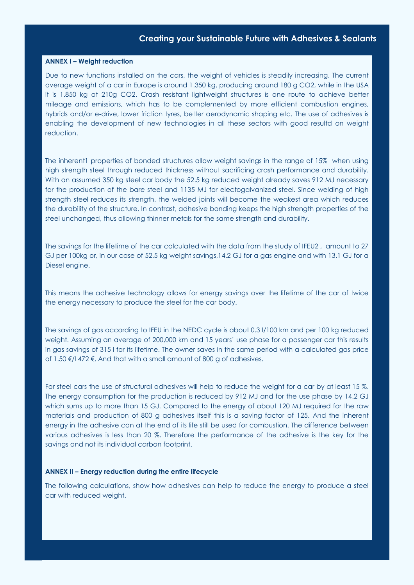#### ANNEX I – Weight reduction

Due to new functions installed on the cars, the weight of vehicles is steadily increasing. The current average weight of a car in Europe is around 1.350 kg, producing around 180 g CO2, while in the USA it is 1.850 kg at 210g CO2. Crash resistant lightweight structures is one route to achieve better mileage and emissions, which has to be complemented by more efficient combustion engines, hybrids and/or e-drive, lower friction tyres, better aerodynamic shaping etc. The use of adhesives is enabling the development of new technologies in all these sectors with good resultd on weight reduction.

The inherent1 properties of bonded structures allow weight savings in the range of 15% when using high strength steel through reduced thickness without sacrificing crash performance and durability. With an assumed 350 kg steel car body the 52.5 kg reduced weight already saves 912 MJ necessary for the production of the bare steel and 1135 MJ for electogalvanized steel. Since welding of high strength steel reduces its strength, the welded joints will become the weakest area which reduces the durability of the structure. In contrast, adhesive bonding keeps the high strength properties of the steel unchanged, thus allowing thinner metals for the same strength and durability.

The savings for the lifetime of the car calculated with the data from the study of IFEU2 , amount to 27 GJ per 100kg or, in our case of 52.5 kg weight savings,14.2 GJ for a gas engine and with 13.1 GJ for a Diesel engine.

This means the adhesive technology allows for energy savings over the lifetime of the car of twice the energy necessary to produce the steel for the car body.

The savings of gas according to IFEU in the NEDC cycle is about 0.3 l/100 km and per 100 kg reduced weight. Assuming an average of 200,000 km and 15 years' use phase for a passenger car this results in gas savings of 315 l for its lifetime. The owner saves in the same period with a calculated gas price of 1.50 €/l 472 €. And that with a small amount of 800 g of adhesives.

For steel cars the use of structural adhesives will help to reduce the weight for a car by at least 15 %. The energy consumption for the production is reduced by 912 MJ and for the use phase by 14.2 GJ which sums up to more than 15 GJ. Compared to the energy of about 120 MJ required for the raw materials and production of 800 g adhesives itself this is a saving factor of 125. And the inherent energy in the adhesive can at the end of its life still be used for combustion. The difference between various adhesives is less than 20 %. Therefore the performance of the adhesive is the key for the savings and not its individual carbon footprint.

#### ANNEX II – Energy reduction during the entire lifecycle

The following calculations, show how adhesives can help to reduce the energy to produce a steel car with reduced weight.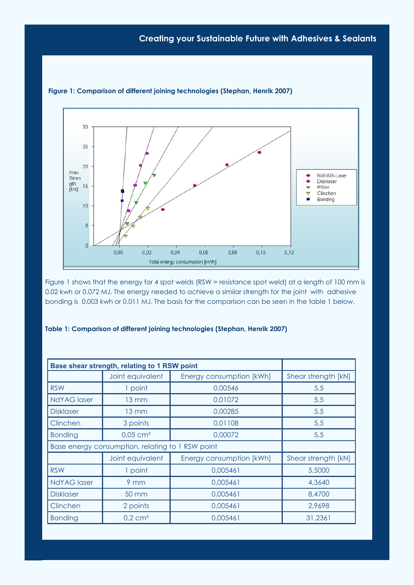

Figure 1: Comparison of different joining technologies (Stephan, Henrik 2007)

Figure 1 shows that the energy for 4 spot welds (RSW = resistance spot weld) at a length of 100 mm is 0.02 kwh or 0.072 MJ. The energy needed to achieve a similar strength for the joint with adhesive bonding is 0,003 kwh or 0.011 MJ. The basis for the comparison can be seen in the table 1 below.

| Base shear strength, relating to 1 RSW point     |                        |                          |                     |
|--------------------------------------------------|------------------------|--------------------------|---------------------|
|                                                  | Joint equivalent       | Energy consumption [kWh] | Shear strength [kN] |
| <b>RSW</b>                                       | 1 point                | 0,00546                  | 5,5                 |
| <b>NdYAG</b> laser                               | $13 \text{ mm}$        | 0,01072                  | 5,5                 |
| <b>Disklaser</b>                                 | $13 \text{ mm}$        | 0,00285                  | 5,5                 |
| Clinchen                                         | 3 points               | 0,01108                  | 5,5                 |
| <b>Bonding</b>                                   | $0.05$ cm <sup>3</sup> | 0,00072                  | 5,5                 |
| Base energy consumption, relating to 1 RSW point |                        |                          |                     |
|                                                  | Joint equivalent       | Energy consumption [kWh] | Shear strength [kN] |
| <b>RSW</b>                                       | 1 point                | 0,005461                 | 5,5000              |
| <b>NdYAG</b> laser                               | 9 <sub>mm</sub>        | 0,005461                 | 4,3640              |
| <b>Disklaser</b>                                 | 50 mm                  | 0,005461                 | 8,4700              |
| Clinchen                                         | 2 points               | 0,005461                 | 2,9698              |
| <b>Bonding</b>                                   | $0.2$ cm <sup>3</sup>  | 0,005461                 | 31,2361             |

#### Table 1: Comparison of different joining technologies (Stephan, Henrik 2007)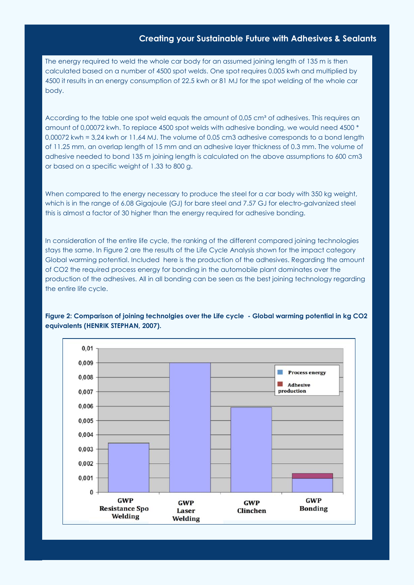The energy required to weld the whole car body for an assumed joining length of 135 m is then calculated based on a number of 4500 spot welds. One spot requires 0.005 kwh and multiplied by 4500 it results in an energy consumption of 22.5 kwh or 81 MJ for the spot welding of the whole car body.

According to the table one spot weld equals the amount of 0,05 cm<sup>3</sup> of adhesives. This requires an amount of 0,00072 kwh. To replace 4500 spot welds with adhesive bonding, we would need 4500 \* 0,00072 kwh = 3,24 kwh or 11,64 MJ. The volume of 0.05 cm3 adhesive corresponds to a bond length of 11.25 mm, an overlap length of 15 mm and an adhesive layer thickness of 0.3 mm. The volume of adhesive needed to bond 135 m joining length is calculated on the above assumptions to 600 cm3 or based on a specific weight of 1.33 to 800 g.

When compared to the energy necessary to produce the steel for a car body with 350 kg weight, which is in the range of 6.08 Gigajoule (GJ) for bare steel and 7.57 GJ for electro-galvanized steel this is almost a factor of 30 higher than the energy required for adhesive bonding.

In consideration of the entire life cycle, the ranking of the different compared joining technologies stays the same. In Figure 2 are the results of the Life Cycle Analysis shown for the impact category Global warming potential. Included here is the production of the adhesives. Regarding the amount of CO2 the required process energy for bonding in the automobile plant dominates over the production of the adhesives. All in all bonding can be seen as the best joining technology regarding the entire life cycle.



### Figure 2: Comparison of joining technolgies over the Life cycle - Global warming potential in kg CO2 equivalents (HENRIK STEPHAN, 2007).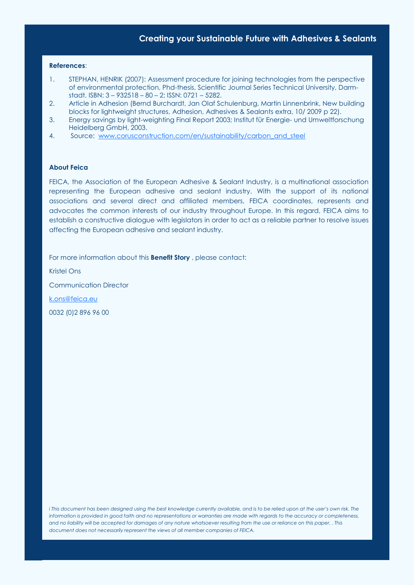#### References:

- 1. STEPHAN, HENRIK (2007): Assessment procedure for joining technologies from the perspective of environmental protection, Phd-thesis, Scientific Journal Series Technical University, Darmstadt. ISBN: 3 – 932518 – 80 – 2; ISSN: 0721 – 5282.
- 2. Article in Adhesion (Bernd Burchardt, Jan Olaf Schulenburg, Martin Linnenbrink, New building blocks for lightweight structures, Adhesion, Adhesives & Sealants extra, 10/ 2009 p 22).
- 3. Energy savings by light-weighting Final Report 2003; Institut für Energie- und Umweltforschung Heidelberg GmbH, 2003.
- 4. Source: www.corusconstruction.com/en/sustainability/carbon\_and\_steel

#### About Feica

FEICA, the Association of the European Adhesive & Sealant Industry, is a multinational association representing the European adhesive and sealant industry. With the support of its national associations and several direct and affiliated members, FEICA coordinates, represents and advocates the common interests of our industry throughout Europe. In this regard, FEICA aims to establish a constructive dialogue with legislators in order to act as a reliable partner to resolve issues affecting the European adhesive and sealant industry.

For more information about this **Benefit Story**, please contact:

Kristel Ons Communication Director k.ons@feica.eu 0032 (0)2 896 96 00

i This document has been designed using the best knowledge currently available, and is to be relied upon at the user's own risk. The information is provided in good faith and no representations or warranties are made with regards to the accuracy or completeness, and no liability will be accepted for damages of any nature whatsoever resulting from the use or reliance on this paper. . This document does not necessarily represent the views of all member companies of FEICA.